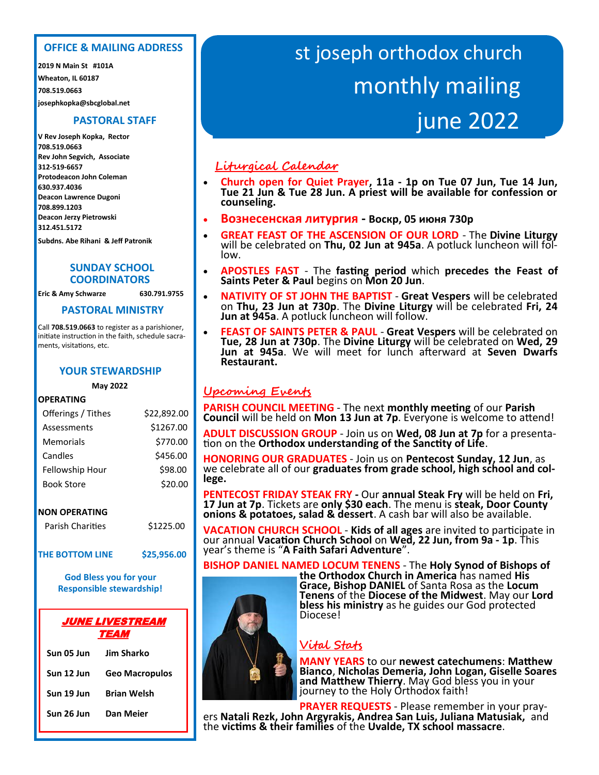# OFFICE & MAILING ADDRESS **OFFICE & MAILING ADDRESS**

2019 N Main St #301A **2019 N Main St #101A** Wheaton, IL 60187 **Wheaton, IL 60187** 708.519.0663 **josephkopka@sbcglobal.net 708.519.0663**

# **PASTORAL STAFF**

**V Rev Joseph Kopka, Rector** V Rev Joseph Kopka, Acting Rector **Rev John Segvich, Associate** 708.519.0663 **312-519-6657** V Rev Mykola Bodnarchuk, Associate **630.937.4036**  630.942.1359 **708.899.1203** Protodeacon John Coleman **312.451.5172 708.519.0663 Protodeacon John Coleman Deacon Lawrence Dugoni Deacon Jerzy Pietrowski**

630.937.4036 **Subdns. Abe Rihani & Jeff Patronik** 

#### 708.424.7149  **COORDINATORS SUNDAY SCHOOL**

Eric & Amy Schwarze 630.791.9755

# **PASTORAL MINISTRY**

Call 708.519.0663 to register as a parishioner, initiate instruction in the faith, schedule sacraments, visitations, etc.

# **YOUR STEWARDSHIP**

#### **May 2022**

#### $\overline{\phantom{a}}$ **OPERATING**

| Offerings / Tithes | \$22,892.00 |
|--------------------|-------------|
| Assessments        | \$1267.00   |
| Memorials          | \$770.00    |
| Candles            | \$456.00    |
| Fellowship Hour    | \$98.00     |
| <b>Book Store</b>  | \$20.00     |
|                    |             |

## **NON OPERATING**

| <b>Parish Charities</b> | \$1225.00 |
|-------------------------|-----------|
|                         |           |

THE BOTTOM LINE \$25,956.00

**God Bless you for your Responsible stewardship!** 

#### \$500.00  $\begin{array}{|c|c|c|}\n\hline\n\text{SUS} & \text{TEAM} & \text{I} \\
\hline\n\end{array}$ JUNE LIVESTREAM

| Sun 05 Jun | Jim Sharko            |
|------------|-----------------------|
| Sun 12 Jun | <b>Geo Macropulos</b> |
| Sun 19 Jun | <b>Brian Welsh</b>    |
| Sun 26 Jun | Dan Meier             |

# st joseph orthodox church monthly mailing june 2022

# **Liturgical Calendar**

- **Church open for Quiet Prayer, 11a - 1p on Tue 07 Jun, Tue 14 Jun, Tue 21 Jun & Tue 28 Jun. A priest will be available for confession or counseling.**
- • **Вознесенская литургия - Воскр, 05 июня 730p**
- • **GREAT FEAST OF THE ASCENSION OF OUR LORD** - The **Divine Liturgy**  will be celebrated on **Thu, 02 Jun at 945a**. A potluck luncheon will follow.
- **APOSTLES FAST**  The **fasting period** which **precedes the Feast of Saints Peter & Paul** begins on **Mon 20 Jun**.
- **NATIVITY OF ST JOHN THE BAPTIST Great Vespers** will be celebrated on **Thu, 23 Jun at 730p**. The **Divine Liturgy** will be celebrated **Fri, 24 Jun at 945a**. A potluck luncheon will follow.
- **FEAST OF SAINTS PETER & PAUL Great Vespers** will be celebrated on **Tue, 28 Jun at 730p**. The **Divine Liturgy** will be celebrated on **Wed, 29 Jun at 945a**. We will meet for lunch afterward at **Seven Dwarfs Restaurant.**

# **Upcoming Events**

**PARISH COUNCIL MEETING** - The next **monthly meeting** of our **Parish Council** will be held on **Mon 13 Jun at 7p**. Everyone is welcome to attend!

**ADULT DISCUSSION GROUP** - Join us on **Wed, 08 Jun at 7p** for a presentation on the **Orthodox understanding of the Sanctity of Life**.

**HONORING OUR GRADUATES** - Join us on **Pentecost Sunday, 12 Jun**, as we celebrate all of our **graduates from grade school, high school and college.**

**PENTECOST FRIDAY STEAK FRY -** Our **annual Steak Fry** will be held on **Fri, 17 Jun at 7p**. Tickets are **only \$30 each**. The menu is **steak, Door County onions & potatoes, salad & dessert**. A cash bar will also be available.

**VACATION CHURCH SCHOOL** - **Kids of all ages** are invited to participate in our annual **Vacation Church School** on **Wed, 22 Jun, from 9a - 1p**. This year's theme is "**A Faith Safari Adventure**".

**BISHOP DANIEL NAMED LOCUM TENENS** - The **Holy Synod of Bishops of the Orthodox Church in America** has named **His Grace, Bishop DANIEL** of Santa Rosa as the **Locum Tenens** of the **Diocese of the Midwest**. May our **Lord bless his ministry** as he guides our God protected Diocese!

# **Vital Stats**

**MANY YEARS** to our **newest catechumens**: **Matthew Bianco**, **Nicholas Demeria, John Logan, Giselle Soares and Matthew Thierry**. May God bless you in your journey to the Holy Orthodox faith!

**PRAYER REQUESTS** - Please remember in your prayers **Natali Rezk, John Argyrakis, Andrea San Luis, Juliana Matusiak,** and the **victims & their families** of the **Uvalde, TX school massacre**.